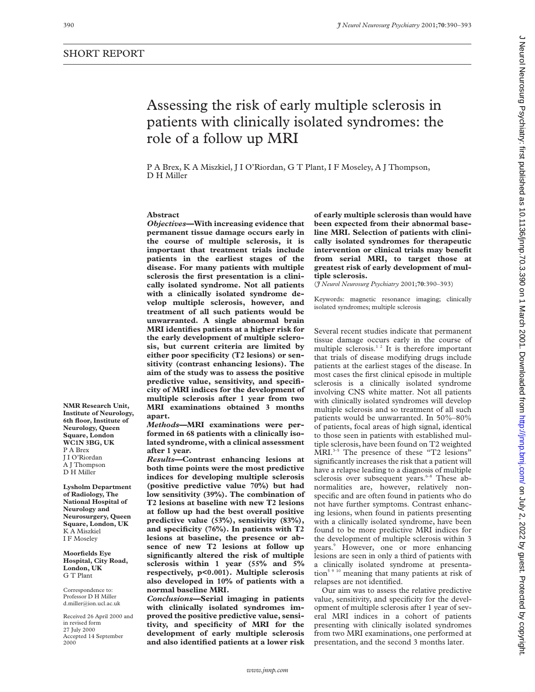# Assessing the risk of early multiple sclerosis in patients with clinically isolated syndromes: the role of a follow up MRI

P A Brex, K A Miszkiel, J I O'Riordan, G T Plant, I F Moseley, A J Thompson, D H Miller

# **Abstract**

*Objectives***—With increasing evidence that permanent tissue damage occurs early in the course of multiple sclerosis, it is important that treatment trials include patients in the earliest stages of the disease. For many patients with multiple sclerosis the first presentation is a clinically isolated syndrome. Not all patients with a clinically isolated syndrome develop multiple sclerosis, however, and treatment of all such patients would be unwarranted. A single abnormal brain MRI identifies patients at a higher risk for the early development of multiple sclerosis, but current criteria are limited by either poor specificity (T2 lesions) or sensitivity (contrast enhancing lesions). The aim of the study was to assess the positive predictive value, sensitivity, and specificity of MRI indices for the development of multiple sclerosis after 1 year from two MRI examinations obtained 3 months apart.**

*Methods***—MRI examinations were performed in 68 patients with a clinically isolated syndrome, with a clinical assessment after 1 year.**

*Results***—Contrast enhancing lesions at both time points were the most predictive indices for developing multiple sclerosis (positive predictive value 70%) but had low sensitivity (39%). The combination of T2 lesions at baseline with new T2 lesions at follow up had the best overall positive predictive value (53%), sensitivity (83%), and specificity (76%). In patients with T2 lesions at baseline, the presence or absence of new T2 lesions at follow up significantly altered the risk of multiple sclerosis within 1 year (55% and 5% respectively, p<0.001). Multiple sclerosis also developed in 10% of patients with a normal baseline MRI.**

*Conclusions***—Serial imaging in patients with clinically isolated syndromes improved the positive predictive value, sensitivity, and specificity of MRI for the development of early multiple sclerosis and also identified patients at a lower risk** **of early multiple sclerosis than would have been expected from their abnormal baseline MRI. Selection of patients with clinically isolated syndromes for therapeutic intervention or clinical trials may benefit from serial MRI, to target those at greatest risk of early development of multiple sclerosis.**

(*J Neurol Neurosurg Psychiatry* 2001;**70**:390–393)

Keywords: magnetic resonance imaging; clinically isolated syndromes; multiple sclerosis

Several recent studies indicate that permanent tissue damage occurs early in the course of multiple sclerosis.<sup>12</sup> It is therefore important that trials of disease modifying drugs include patients at the earliest stages of the disease. In most cases the first clinical episode in multiple sclerosis is a clinically isolated syndrome involving CNS white matter. Not all patients with clinically isolated syndromes will develop multiple sclerosis and so treatment of all such patients would be unwarranted. In 50%–80% of patients, focal areas of high signal, identical to those seen in patients with established multiple sclerosis, have been found on T2 weighted MRI.<sup>3-5</sup> The presence of these "T2 lesions" significantly increases the risk that a patient will have a relapse leading to a diagnosis of multiple sclerosis over subsequent years.<sup>6-8</sup> These abnormalities are, however, relatively nonspecific and are often found in patients who do not have further symptoms. Contrast enhancing lesions, when found in patients presenting with a clinically isolated syndrome, have been found to be more predictive MRI indices for the development of multiple sclerosis within 3 years.<sup>9</sup> However, one or more enhancing lesions are seen in only a third of patients with a clinically isolated syndrome at presentation<sup>5 9 10</sup> meaning that many patients at risk of relapses are not identified.

Our aim was to assess the relative predictive value, sensitivity, and specificity for the development of multiple sclerosis after 1 year of several MRI indices in a cohort of patients presenting with clinically isolated syndromes from two MRI examinations, one performed at presentation, and the second 3 months later.

Den July 2, 2022 by guest Protected by copyright. Http://jnnp.blogg. Protect 10.3990 . Downloaddy teom Natal Neurol Neurol Neurol Neurol Neurol Neurol Neurol Neurol Neurol Neurol 2, 2,020 by 2, 2,020 published as the from Neurol Neurosurg Psychiatry: first published as 10.1136/jnnp.70.3.390 on 1 March 2001. Downloaded from http://jnnp.bmj.com/ on July 2, 2022 by guest. Protected by copyright

**NMR Research Unit, Institute of Neurology, 6th floor, Institute of Neurology, Queen Square, London WC1N 3BG, UK** P A Brex J I O'Riordan A J Thompson D H Miller

**Lysholm Department of Radiology, The National Hospital of Neurology and Neurosurgery, Queen Square, London, UK** K A Miszkiel I F Moseley

**Moorfields Eye Hospital, City Road, London, UK** G T Plant

Correspondence to: Professor D H Miller d.miller@ion.ucl.ac.uk

Received 26 April 2000 and in revised form 27 July 2000 Accepted 14 September 2000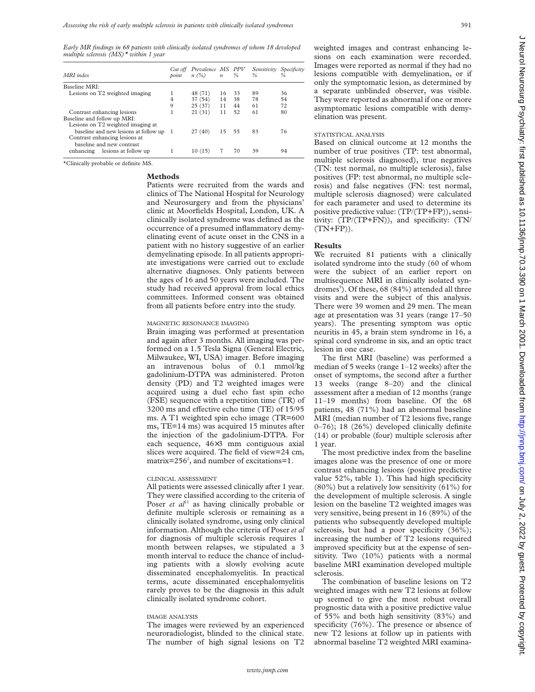*Early MR findings in 68 patients with clinically isolated syndromes of whom 18 developed multiple sclerosis (MS)\* within 1 year*

| MRI index                                                                |                                                                  | Cut off<br>point | Prevalence MS PPV<br>n(%) | $\boldsymbol{n}$ | %  | Sensitivity<br>% | Specificity |
|--------------------------------------------------------------------------|------------------------------------------------------------------|------------------|---------------------------|------------------|----|------------------|-------------|
| Baseline MRI:                                                            |                                                                  |                  |                           |                  |    |                  |             |
| Lesions on T2 weighted imaging                                           |                                                                  |                  | 48 (71)                   | 16               | 33 | 89               | 36          |
|                                                                          |                                                                  | 4                | 37 (54)                   | 14               | 38 | 78               | 54          |
|                                                                          |                                                                  | 9                | 25(37)                    | 11               | 44 | 61               | 72          |
| Contrast enhancing lesions                                               |                                                                  |                  | 21(31)                    | 11               | 52 | 61               | 80          |
|                                                                          | Baseline and follow up MRI:<br>Lesions on T2 weighted imaging at |                  |                           |                  |    |                  |             |
| baseline and new lesions at follow up 1<br>Contrast enhancing lesions at |                                                                  |                  | 27(40)                    | 15 55            |    | 83               | 76          |
|                                                                          | baseline and new contrast<br>enhancing lesions at follow up      |                  | 10(15)                    |                  | 70 | 39               | 94          |

\*Clinically probable or definite MS.

### **Methods**

Patients were recruited from the wards and clinics of The National Hospital for Neurology and Neurosurgery and from the physicians' clinic at Moorfields Hospital, London, UK. A clinically isolated syndrome was defined as the occurrence of a presumed inflammatory demyelinating event of acute onset in the CNS in a patient with no history suggestive of an earlier demyelinating episode. In all patients appropriate investigations were carried out to exclude alternative diagnoses. Only patients between the ages of 16 and 50 years were included. The study had received approval from local ethics committees. Informed consent was obtained from all patients before entry into the study.

### MAGNETIC RESONANCE IMAGING

Brain imaging was performed at presentation and again after 3 months. All imaging was performed on a 1.5 Tesla Signa (General Electric, Milwaukee, WI, USA) imager. Before imaging an intravenous bolus of 0.1 mmol/kg gadolinium-DTPA was administered. Proton density (PD) and T2 weighted images were acquired using a duel echo fast spin echo (FSE) sequence with a repetition time (TR) of  $3200$  ms and effective echo time (TE) of  $15/95$ ms. A T1 weighted spin echo image (TR=600 ms, TE=14 ms) was acquired 15 minutes after the injection of the gadolinium-DTPA. For each sequence, 46×3 mm contiguous axial slices were acquired. The field of view=24 cm, matrix= $256^2$ , and number of excitations=1.

#### CLINICAL ASSESSMENT

All patients were assessed clinically after 1 year. They were classified according to the criteria of Poser *et al*<sup>11</sup> as having clinically probable or definite multiple sclerosis or remaining as a clinically isolated syndrome, using only clinical information. Although the criteria of Poser *et al* for diagnosis of multiple sclerosis requires 1 month between relapses, we stipulated a 3 month interval to reduce the chance of including patients with a slowly evolving acute disseminated encephalomyelitis. In practical terms, acute disseminated encephalomyelitis rarely proves to be the diagnosis in this adult clinically isolated syndrome cohort.

# IMAGE ANALYSIS

The images were reviewed by an experienced neuroradiologist, blinded to the clinical state. The number of high signal lesions on T2 weighted images and contrast enhancing lesions on each examination were recorded. Images were reported as normal if they had no lesions compatible with demyelination, or if only the symptomatic lesion, as determined by a separate unblinded observer, was visible. They were reported as abnormal if one or more asymptomatic lesions compatible with demyelination was present.

#### STATISTICAL ANALYSIS

Based on clinical outcome at 12 months the number of true positives (TP: test abnormal, multiple sclerosis diagnosed), true negatives (TN: test normal, no multiple sclerosis), false positives (FP: test abnormal, no multiple sclerosis) and false negatives (FN: test normal, multiple sclerosis diagnosed) were calculated for each parameter and used to determine its positive predictive value: (TP/(TP+FP)), sensitivity: (TP/(TP+FN)), and specificity: (TN/ (TN+FP)).

#### **Results**

We recruited 81 patients with a clinically isolated syndrome into the study (60 of whom were the subject of an earlier report on multisequence MRI in clinically isolated syndromes<sup>5</sup>). Of these, 68 (84%) attended all three visits and were the subject of this analysis. There were 39 women and 29 men. The mean age at presentation was 31 years (range 17–50 years). The presenting symptom was optic neuritis in 45, a brain stem syndrome in 16, a spinal cord syndrome in six, and an optic tract lesion in one case.

The first MRI (baseline) was performed a median of 5 weeks (range 1–12 weeks) after the onset of symptoms, the second after a further 13 weeks (range 8–20) and the clinical assessment after a median of 12 months (range 11–19 months) from baseline. Of the 68 patients, 48 (71%) had an abnormal baseline MRI (median number of T2 lesions five, range 0–76); 18 (26%) developed clinically definite (14) or probable (four) multiple sclerosis after 1 year.

The most predictive index from the baseline images alone was the presence of one or more contrast enhancing lesions (positive predictive value 52%, table 1). This had high specificity (80%) but a relatively low sensitivity (61%) for the development of multiple sclerosis. A single lesion on the baseline T2 weighted images was very sensitive, being present in 16 (89%) of the patients who subsequently developed multiple sclerosis, but had a poor specificity (36%); increasing the number of T2 lesions required improved specificity but at the expense of sensitivity. Two (10%) patients with a normal baseline MRI examination developed multiple sclerosis.

The combination of baseline lesions on T2 weighted images with new T2 lesions at follow up seemed to give the most robust overall prognostic data with a positive predictive value of 55% and both high sensitivity (83%) and specificity (76%). The presence or absence of new T2 lesions at follow up in patients with abnormal baseline T2 weighted MRI examina-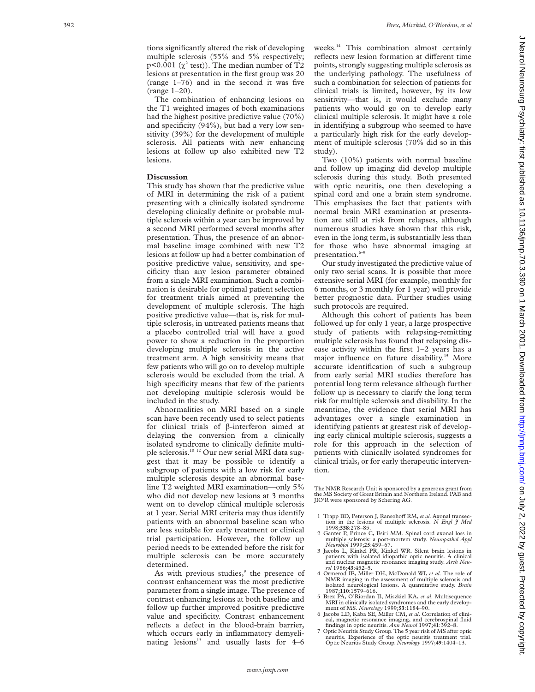tions significantly altered the risk of developing multiple sclerosis (55% and 5% respectively;  $p<0.001$  ( $\chi^2$  test)). The median number of T2 lesions at presentation in the first group was 20 (range 1–76) and in the second it was five (range 1–20).

The combination of enhancing lesions on the T1 weighted images of both examinations had the highest positive predictive value (70%) and specificity (94%), but had a very low sensitivity (39%) for the development of multiple sclerosis. All patients with new enhancing lesions at follow up also exhibited new T2 lesions.

# **Discussion**

This study has shown that the predictive value of MRI in determining the risk of a patient presenting with a clinically isolated syndrome developing clinically definite or probable multiple sclerosis within a year can be improved by a second MRI performed several months after presentation. Thus, the presence of an abnormal baseline image combined with new T2 lesions at follow up had a better combination of positive predictive value, sensitivity, and specificity than any lesion parameter obtained from a single MRI examination. Such a combination is desirable for optimal patient selection for treatment trials aimed at preventing the development of multiple sclerosis. The high positive predictive value—that is, risk for multiple sclerosis, in untreated patients means that a placebo controlled trial will have a good power to show a reduction in the proportion developing multiple sclerosis in the active treatment arm. A high sensitivity means that few patients who will go on to develop multiple sclerosis would be excluded from the trial. A high specificity means that few of the patients not developing multiple sclerosis would be included in the study.

Abnormalities on MRI based on a single scan have been recently used to select patients for clinical trials of  $\beta$ -interferon aimed at delaying the conversion from a clinically isolated syndrome to clinically definite multiple sclerosis.10 12 Our new serial MRI data suggest that it may be possible to identify a subgroup of patients with a low risk for early multiple sclerosis despite an abnormal baseline T2 weighted MRI examination—only 5% who did not develop new lesions at 3 months went on to develop clinical multiple sclerosis at 1 year. Serial MRI criteria may thus identify patients with an abnormal baseline scan who are less suitable for early treatment or clinical trial participation. However, the follow up period needs to be extended before the risk for multiple sclerosis can be more accurately determined.

As with previous studies, <sup>9</sup> the presence of contrast enhancement was the most predictive parameter from a single image. The presence of contrast enhancing lesions at both baseline and follow up further improved positive predictive value and specificity. Contrast enhancement reflects a defect in the blood-brain barrier, which occurs early in inflammatory demyelinating lesions $13$  and usually lasts for  $4-6$ 

weeks.<sup>14</sup> This combination almost certainly reflects new lesion formation at different time points, strongly suggesting multiple sclerosis as the underlying pathology. The usefulness of such a combination for selection of patients for clinical trials is limited, however, by its low sensitivity—that is, it would exclude many patients who would go on to develop early clinical multiple sclerosis. It might have a role in identifying a subgroup who seemed to have a particularly high risk for the early development of multiple sclerosis (70% did so in this study).

Two (10%) patients with normal baseline and follow up imaging did develop multiple sclerosis during this study. Both presented with optic neuritis, one then developing a spinal cord and one a brain stem syndrome. This emphasises the fact that patients with normal brain MRI examination at presentation are still at risk from relapses, although numerous studies have shown that this risk, even in the long term, is substantially less than for those who have abnormal imaging at presentation.<sup>6–9</sup>

Our study investigated the predictive value of only two serial scans. It is possible that more extensive serial MRI (for example, monthly for 6 months, or 3 monthly for 1 year) will provide better prognostic data. Further studies using such protocols are required.

Although this cohort of patients has been followed up for only 1 year, a large prospective study of patients with relapsing-remitting multiple sclerosis has found that relapsing disease activity within the first 1–2 years has a major influence on future disability.<sup>15</sup> More accurate identification of such a subgroup from early serial MRI studies therefore has potential long term relevance although further follow up is necessary to clarify the long term risk for multiple sclerosis and disability. In the meantime, the evidence that serial MRI has advantages over a single examination in identifying patients at greatest risk of developing early clinical multiple sclerosis, suggests a role for this approach in the selection of patients with clinically isolated syndromes for clinical trials, or for early therapeutic intervention.

The NMR Research Unit is sponsored by a generous grant from the MS Society of Great Britain and Northern Ireland. PAB and JIO'R were sponsored by Schering AG.

- 1 Trapp BD, Peterson J, Ransohoff RM, et al. Axonal transection in the lesions of multiple sclerosis. *N Engl J Med* 1998:338:278-85
- 1998;**338**:278–85. 2 Ganter P, Prince C, Esiri MM. Spinal cord axonal loss in multiple sclerosis: a post-mortem study. *Neuropathol Appl Neurobiol* 1999;**25**:459–67.
- 3 Jacobs L, Kinkel PR, Kinkel WR. Silent brain lesions in patients with isolated idiopathic optic neuritis. A clinical and nuclear magnetic resonance imaging study. *Arch Neurol* 1986;**43**:452–5.
- 4 Ormerod IE, Miller DH, McDonald WI, *et al*. The role of NMR imaging in the assessment of multiple sclerosis and isolated neurological lesions. A quantitative study. *Brain* 1987;**110**:1579–616.
- 5 Brex PA, O'Riordan JI, Miszkiel KA, *et al*. Multisequence MRI in clinically isolated syndromes and the early develop-
- ment of MS. *Neurology* 1999;**53**:1184–90. 6 Jacobs LD, Kaba SE, Miller CM, *et al*. Correlation of clinical, magnetic resonance imaging, and cerebrospinal fluid findings in optic neuritis. *Ann Neurol* 1997;**41**:392–8.
- 7 Optic Neuritis Study Group. The 5 year risk of MS after optic neuritis. Experience of the optic neuritis treatment trial. Optic Neuritis Study Group. *Neurology* 1997;**49**:1404–13.